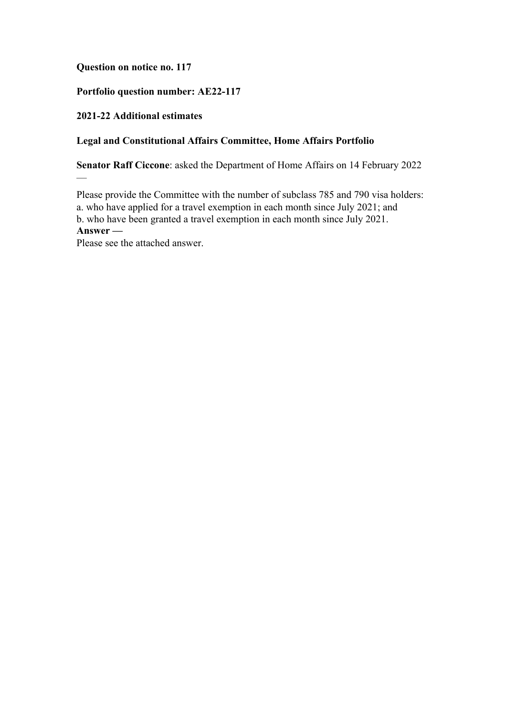## **Question on notice no. 117**

# **Portfolio question number: AE22-117**

## **2021-22 Additional estimates**

 $\overline{\phantom{0}}$ 

### **Legal and Constitutional Affairs Committee, Home Affairs Portfolio**

**Senator Raff Ciccone**: asked the Department of Home Affairs on 14 February 2022

Please provide the Committee with the number of subclass 785 and 790 visa holders: a. who have applied for a travel exemption in each month since July 2021; and b. who have been granted a travel exemption in each month since July 2021. **Answer —**

Please see the attached answer.